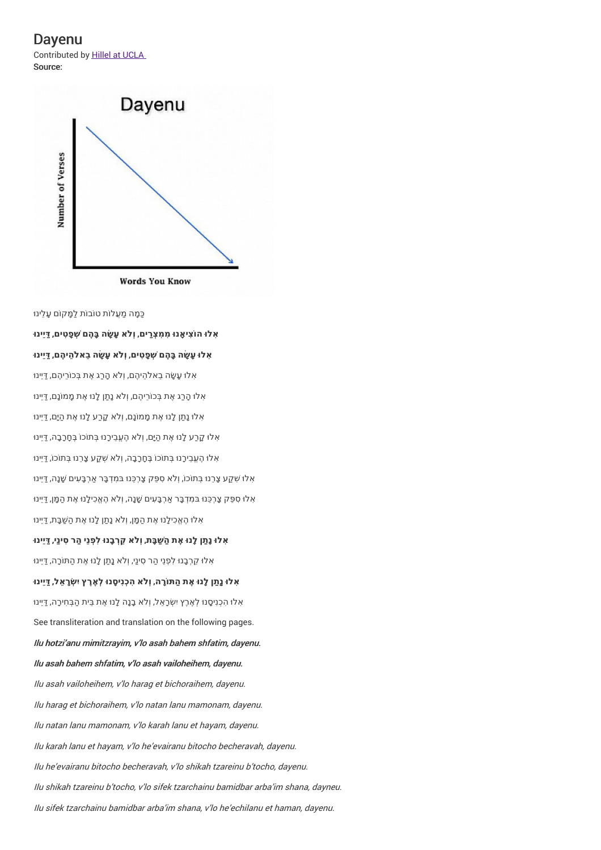Dayenu Contributed by Hillel at UCLA Source:



ַּכַּמָּה מַעֲלוֹת טוֹבוֹת לַמָּקוֹם עָלֵינוּ

## **ִאלו ּה ֹוצִי ָאנו ּ ִמ ִמצְַרים**, **וְ ֹלא עָ ָׂשה בָּ ֶהם ְׁש ָפ ִטים**, **ַדּיֵינו ּ**

## **ִאלו ּעָ ָׂשה בָּ ֶהם ְׁש ָפ ִטים**, **וְ ֹלא עָ ָׂשה בֵא ֹל ֵהי ֶהם**, **ַדּיֵינו ּ**

ֿאָלוּ עַשַׂה בֻאלהֵיהֶם, וְלֹא הַרַג אֶת בְּכוֹרֵיהֶם, דַיֵּינוּ אָלוּ הָרַג אֶת בְּכוֹרֵיהֶם, וְלֹא נָתַן לָנוּ אֶת מָמוֹנָם, דַיֵינוּ אָלו נָתַן לָנוּ אֶת מָמוֹנָם, וְלֹא קָרַע לָנוּ אֶת הַיָּם, דַיֵינוּ אִלוּ קָרַע לָנוּ אֶת הַיָּם, וְלֹא הֶעֶבֶירָנוּ בְּתוֹכוֹ בֶּחָרָבָה, דַיֵינוּ אָלוּ הֶעֱבֵירָנוּ בְּתוֹכוֹ בֶּחָרָבָה, וְלֹא שְׁקַע צָרֵנוּ בְּתוֹכוֹ, דַּיִינוּ ֿאָלו שִׁקַע צָרֵנו בְּתוֹכוֹ, וְלֹא סִפֵּק צָרְכֵּנוּ בּמִדְבָּר אַרְבָּעִים שָׁנָה, דַיֵּינוּ ּ אָלוּ סִפֵּק צָרְכֵּנוּ בּמִדְבָּר אַרְבָּעִים שָׁנָה, וְלֹא הֶאֱכִילָנוּ אֶת הַמָּן, דַיֵּינוּ אָלוּ הֶאֱכִילָנוּ אֶת הַמָּן, וְלֹא נָתַן לָנוּ אֶת הַשַּׁבָּת, דַיֵינוּ **ִאלו ּנָ ַתן לָנו ּ ֶאת ַה ַׁשבָּת**, **וְ ֹלא ֵק ְרבָנו ּלִ ְפנֵי ַהר ִסינַי**, **ַדּיֵינו ּ** אָלוּ קֵרְבָנוּ לִפְנֵי הַר סִינַי, וְלֹא נַתַן לָנוּ אֶת הַתּוֹרָה, דַיֵינוּ אִלוּ נַתַּן לַנוּ אֶת הַתּוֹרַה, וְלֹא הִכְנִיסֵנוּ לְאֶרֶץ יִשְׂרַאֶל, דַּיִינוּ אָלוּ הִכְנִיסָנוּ לְאֶרֶץ יִשְׂרָאֵל, וְלֹא בָנָה לָנוּ אֶת בֵּית הַבְּחִירָה, דַּיֵינוּ See transliteration and translation on the following pages. Ilu hotzi'anu mimitzrayim, <sup>v</sup>'lo asah bahem shfatim, dayenu. Ilu asah bahem shfatim, <sup>v</sup>'lo asah vailoheihem, dayenu. Ilu asah vailoheihem, <sup>v</sup>'lo harag et bichoraihem, dayenu. Ilu harag et bichoraihem, <sup>v</sup>'lo natan lanu mamonam, dayenu. Ilu natan lanu mamonam, <sup>v</sup>'lo karah lanu et hayam, dayenu. Ilu karah lanu et hayam, <sup>v</sup>'lo he'evairanu bitocho becheravah, dayenu. Ilu he'evairanu bitocho becheravah, <sup>v</sup>'lo shikah tzareinu b'tocho, dayenu. Ilu shikah tzareinu b'tocho, <sup>v</sup>'lo sifek tzarchainu bamidbar arba'im shana, dayneu. Ilu sifek tzarchainu bamidbar arba'im shana, <sup>v</sup>'lo he'echilanu et haman, dayenu.